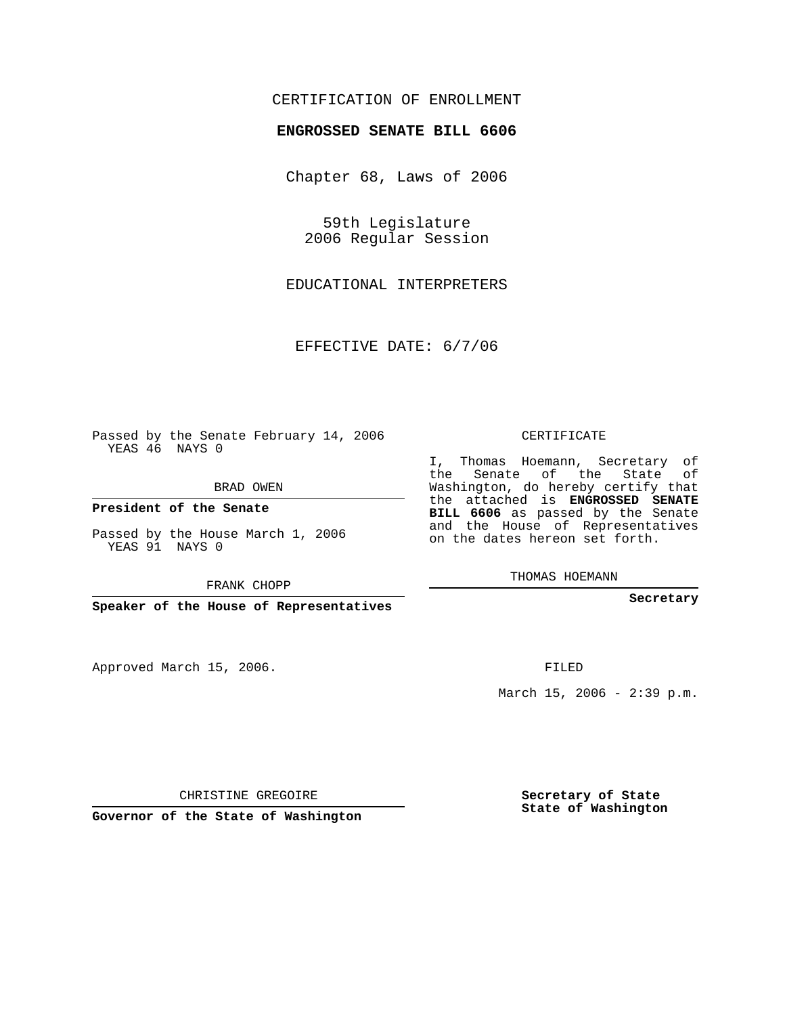## CERTIFICATION OF ENROLLMENT

## **ENGROSSED SENATE BILL 6606**

Chapter 68, Laws of 2006

59th Legislature 2006 Regular Session

EDUCATIONAL INTERPRETERS

EFFECTIVE DATE: 6/7/06

Passed by the Senate February 14, 2006 YEAS 46 NAYS 0

BRAD OWEN

**President of the Senate**

Passed by the House March 1, 2006 YEAS 91 NAYS 0

FRANK CHOPP

**Speaker of the House of Representatives**

Approved March 15, 2006.

CERTIFICATE

I, Thomas Hoemann, Secretary of the Senate of the State of Washington, do hereby certify that the attached is **ENGROSSED SENATE BILL 6606** as passed by the Senate and the House of Representatives on the dates hereon set forth.

THOMAS HOEMANN

**Secretary**

FILED

March 15, 2006 - 2:39 p.m.

CHRISTINE GREGOIRE

**Governor of the State of Washington**

**Secretary of State State of Washington**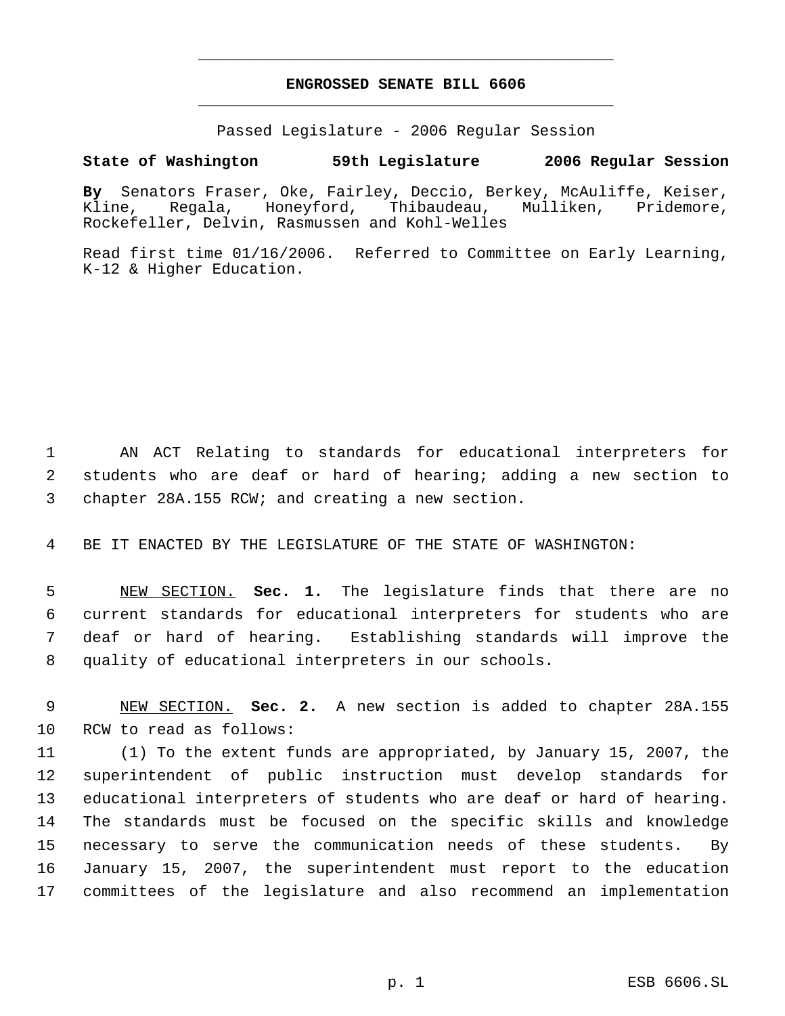## **ENGROSSED SENATE BILL 6606** \_\_\_\_\_\_\_\_\_\_\_\_\_\_\_\_\_\_\_\_\_\_\_\_\_\_\_\_\_\_\_\_\_\_\_\_\_\_\_\_\_\_\_\_\_

\_\_\_\_\_\_\_\_\_\_\_\_\_\_\_\_\_\_\_\_\_\_\_\_\_\_\_\_\_\_\_\_\_\_\_\_\_\_\_\_\_\_\_\_\_

Passed Legislature - 2006 Regular Session

## **State of Washington 59th Legislature 2006 Regular Session**

**By** Senators Fraser, Oke, Fairley, Deccio, Berkey, McAuliffe, Keiser, Kline, Regala, Honeyford, Thibaudeau, Mulliken, Pridemore, Rockefeller, Delvin, Rasmussen and Kohl-Welles

Read first time 01/16/2006. Referred to Committee on Early Learning, K-12 & Higher Education.

 AN ACT Relating to standards for educational interpreters for students who are deaf or hard of hearing; adding a new section to chapter 28A.155 RCW; and creating a new section.

BE IT ENACTED BY THE LEGISLATURE OF THE STATE OF WASHINGTON:

 NEW SECTION. **Sec. 1.** The legislature finds that there are no current standards for educational interpreters for students who are deaf or hard of hearing. Establishing standards will improve the quality of educational interpreters in our schools.

 NEW SECTION. **Sec. 2.** A new section is added to chapter 28A.155 RCW to read as follows:

 (1) To the extent funds are appropriated, by January 15, 2007, the superintendent of public instruction must develop standards for educational interpreters of students who are deaf or hard of hearing. The standards must be focused on the specific skills and knowledge necessary to serve the communication needs of these students. By January 15, 2007, the superintendent must report to the education committees of the legislature and also recommend an implementation